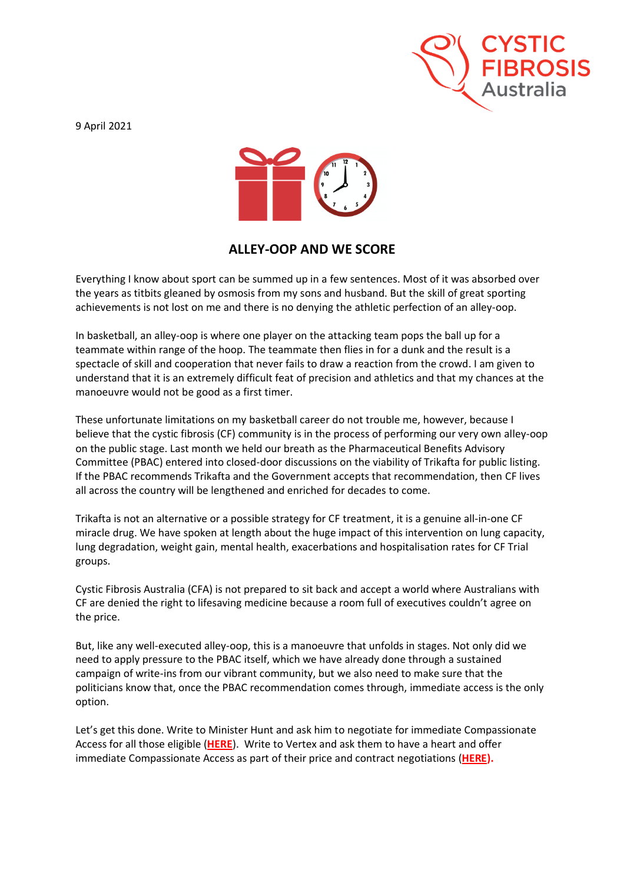

9 April 2021



## **ALLEY-OOP AND WE SCORE**

Everything I know about sport can be summed up in a few sentences. Most of it was absorbed over the years as titbits gleaned by osmosis from my sons and husband. But the skill of great sporting achievements is not lost on me and there is no denying the athletic perfection of an alley-oop.

In basketball, an alley-oop is where one player on the attacking team pops the ball up for a teammate within range of the hoop. The teammate then flies in for a dunk and the result is a spectacle of skill and cooperation that never fails to draw a reaction from the crowd. I am given to understand that it is an extremely difficult feat of precision and athletics and that my chances at the manoeuvre would not be good as a first timer.

These unfortunate limitations on my basketball career do not trouble me, however, because I believe that the cystic fibrosis (CF) community is in the process of performing our very own alley-oop on the public stage. Last month we held our breath as the Pharmaceutical Benefits Advisory Committee (PBAC) entered into closed-door discussions on the viability of Trikafta for public listing. If the PBAC recommends Trikafta and the Government accepts that recommendation, then CF lives all across the country will be lengthened and enriched for decades to come.

Trikafta is not an alternative or a possible strategy for CF treatment, it is a genuine all-in-one CF miracle drug. We have spoken at length about the huge impact of this intervention on lung capacity, lung degradation, weight gain, mental health, exacerbations and hospitalisation rates for CF Trial groups.

Cystic Fibrosis Australia (CFA) is not prepared to sit back and accept a world where Australians with CF are denied the right to lifesaving medicine because a room full of executives couldn't agree on the price.

But, like any well-executed alley-oop, this is a manoeuvre that unfolds in stages. Not only did we need to apply pressure to the PBAC itself, which we have already done through a sustained campaign of write-ins from our vibrant community, but we also need to make sure that the politicians know that, once the PBAC recommendation comes through, immediate access is the only option.

Let's get this done. Write to Minister Hunt and ask him to negotiate for immediate Compassionate Access for all those eligible (**[HERE](https://www.cysticfibrosis.org.au/getmedia/3b2cc2ac-877f-49b3-a5cd-6059de8dfeaf/Letter-MPS-and-SENATORS-23-3-21.pdf.aspx)**). Write to Vertex and ask them to have a heart and offer immediate Compassionate Access as part of their price and contract negotiations (**[HERE\)](https://www.cysticfibrosis.org.au/getmedia/430b4277-86f7-40b1-bbb4-89b0582b40e2/COMMUNITY-LETTER-TO-VERTEX-26-3-21.pdf.aspx).**